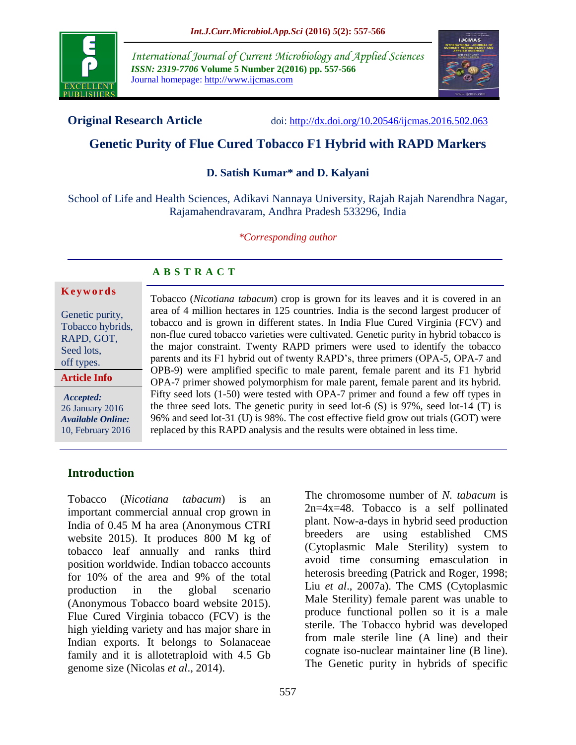

*International Journal of Current Microbiology and Applied Sciences ISSN: 2319-7706* **Volume 5 Number 2(2016) pp. 557-566** Journal homepage: http://www.ijcmas.com



**Original Research Article** doi: [http://dx.doi.org/10.20546/ijcmas.2016.502.063](http://dx.doi.org/10.20546/ijcmas.2016.501.063)

# **Genetic Purity of Flue Cured Tobacco F1 Hybrid with RAPD Markers**

## **D. Satish Kumar\* and D. Kalyani**

School of Life and Health Sciences, Adikavi Nannaya University, Rajah Rajah Narendhra Nagar, Rajamahendravaram, Andhra Pradesh 533296, India

*\*Corresponding author*

# **A B S T R A C T**

#### **K e y w o r d s**

Genetic purity, Tobacco hybrids, RAPD, GOT, Seed lots, off types. **Article Info**

*Accepted:*  26 January 2016 *Available Online:* 10, February 2016 Tobacco (*Nicotiana tabacum*) crop is grown for its leaves and it is covered in an area of 4 million hectares in 125 countries. India is the second largest producer of tobacco and is grown in different states. In India Flue Cured Virginia (FCV) and non-flue cured tobacco varieties were cultivated. Genetic purity in hybrid tobacco is the major constraint. Twenty RAPD primers were used to identify the tobacco parents and its F1 hybrid out of twenty RAPD's, three primers (OPA-5, OPA-7 and OPB-9) were amplified specific to male parent, female parent and its F1 hybrid OPA-7 primer showed polymorphism for male parent, female parent and its hybrid. Fifty seed lots (1-50) were tested with OPA-7 primer and found a few off types in the three seed lots. The genetic purity in seed lot-6 (S) is 97%, seed lot-14 (T) is 96% and seed lot-31 (U) is 98%. The cost effective field grow out trials (GOT) were replaced by this RAPD analysis and the results were obtained in less time.

# **Introduction**

Tobacco (*Nicotiana tabacum*) is an important commercial annual crop grown in India of 0.45 M ha area (Anonymous CTRI website 2015). It produces 800 M kg of tobacco leaf annually and ranks third position worldwide. Indian tobacco accounts for 10% of the area and 9% of the total production in the global scenario (Anonymous Tobacco board website 2015). Flue Cured Virginia tobacco (FCV) is the high yielding variety and has major share in Indian exports. It belongs to Solanaceae family and it is allotetraploid with 4.5 Gb genome size [\(Nicolas](http://www.nature.com/ncomms/2014/140508/ncomms4833/full/ncomms4833.html#auth-1) *et al*., 2014).

The chromosome number of *N. tabacum* is 2n=4x=48. Tobacco is a self pollinated plant. Now-a-days in hybrid seed production breeders are using established CMS (Cytoplasmic Male Sterility) system to avoid time consuming emasculation in heterosis breeding (Patrick and Roger, 1998; Liu *et al*., 2007a). The CMS (Cytoplasmic Male Sterility) female parent was unable to produce functional pollen so it is a male sterile. The Tobacco hybrid was developed from male sterile line (A line) and their cognate iso-nuclear maintainer line (B line). The Genetic purity in hybrids of specific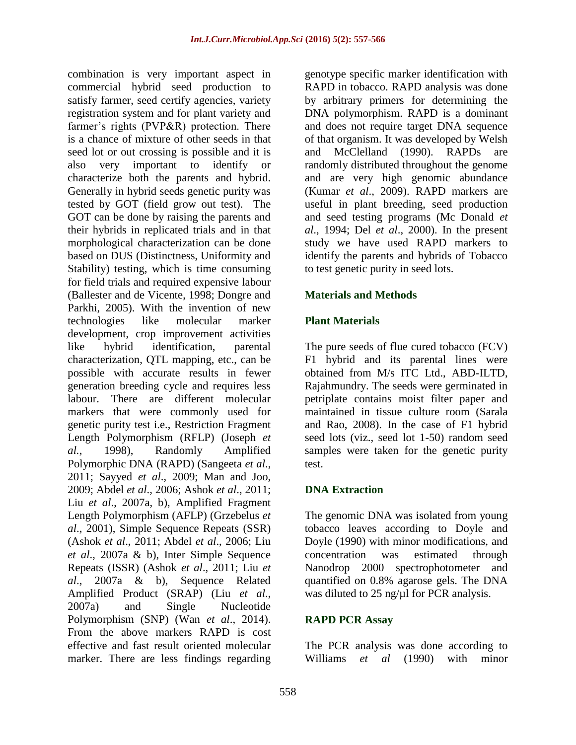combination is very important aspect in commercial hybrid seed production to satisfy farmer, seed certify agencies, variety registration system and for plant variety and farmer's rights (PVP&R) protection. There is a chance of mixture of other seeds in that seed lot or out crossing is possible and it is also very important to identify or characterize both the parents and hybrid. Generally in hybrid seeds genetic purity was tested by GOT (field grow out test). The GOT can be done by raising the parents and their hybrids in replicated trials and in that morphological characterization can be done based on DUS (Distinctness, Uniformity and Stability) testing, which is time consuming for field trials and required expensive labour (Ballester and de Vicente, 1998; Dongre and Parkhi, 2005). With the invention of new technologies like molecular marker development, crop improvement activities like hybrid identification, parental characterization, QTL mapping, etc., can be possible with accurate results in fewer generation breeding cycle and requires less labour. There are different molecular markers that were commonly used for genetic purity test i.e., Restriction Fragment Length Polymorphism (RFLP) (Joseph *et al.*, 1998), Randomly Amplified Polymorphic DNA (RAPD) (Sangeeta *et al*., 2011; Sayyed *et al*., 2009; Man and Joo, 2009; Abdel *et al*., 2006; Ashok *et al*., 2011; Liu *et al*., 2007a, b), Amplified Fragment Length Polymorphism (AFLP) (Grzebelus *et al*., 2001), Simple Sequence Repeats (SSR) (Ashok *et al*., 2011; Abdel *et al*., 2006; Liu *et al*., 2007a & b), Inter Simple Sequence Repeats (ISSR) (Ashok *et al*., 2011; Liu *et al*., 2007a & b), Sequence Related Amplified Product (SRAP) (Liu *et al*., 2007a) and Single Nucleotide Polymorphism (SNP) (Wan *et al*., 2014). From the above markers RAPD is cost effective and fast result oriented molecular marker. There are less findings regarding

genotype specific marker identification with RAPD in tobacco. RAPD analysis was done by arbitrary primers for determining the DNA polymorphism. RAPD is a dominant and does not require target DNA sequence of that organism. It was developed by Welsh and McClelland (1990). RAPDs are randomly distributed throughout the genome and are very high genomic abundance (Kumar *et al*., 2009). RAPD markers are useful in plant breeding, seed production and seed testing programs (Mc Donald *et al*., 1994; Del *et al*., 2000). In the present study we have used RAPD markers to identify the parents and hybrids of Tobacco to test genetic purity in seed lots.

## **Materials and Methods**

## **Plant Materials**

The pure seeds of flue cured tobacco (FCV) F1 hybrid and its parental lines were obtained from M/s ITC Ltd., ABD-ILTD, Rajahmundry. The seeds were germinated in petriplate contains moist filter paper and maintained in tissue culture room (Sarala and Rao, 2008). In the case of F1 hybrid seed lots (viz., seed lot 1-50) random seed samples were taken for the genetic purity test.

# **DNA Extraction**

The genomic DNA was isolated from young tobacco leaves according to Doyle and Doyle (1990) with minor modifications, and concentration was estimated through Nanodrop 2000 spectrophotometer and quantified on 0.8% agarose gels. The DNA was diluted to 25 ng/µl for PCR analysis.

## **RAPD PCR Assay**

The PCR analysis was done according to Williams *et al* (1990) with minor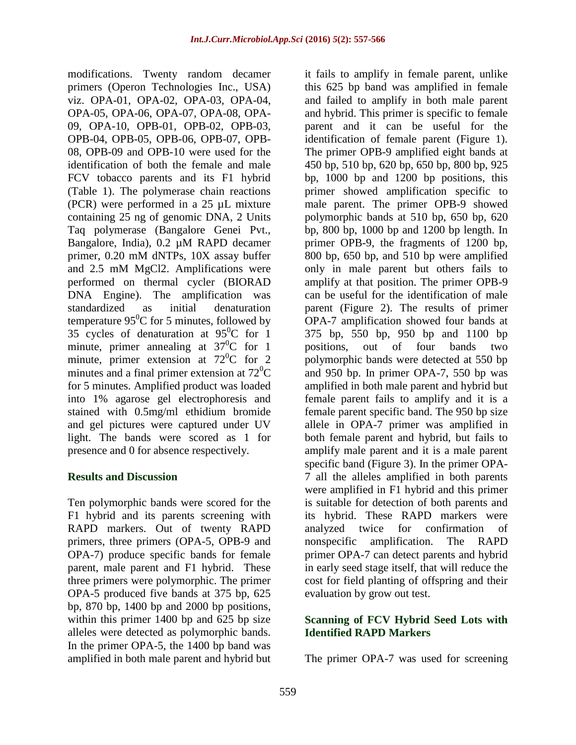modifications. Twenty random decamer primers (Operon Technologies Inc., USA) viz. OPA-01, OPA-02, OPA-03, OPA-04, OPA-05, OPA-06, OPA-07, OPA-08, OPA-09, OPA-10, OPB-01, OPB-02, OPB-03, OPB-04, OPB-05, OPB-06, OPB-07, OPB-08, OPB-09 and OPB-10 were used for the identification of both the female and male FCV tobacco parents and its F1 hybrid (Table 1). The polymerase chain reactions (PCR) were performed in a 25 µL mixture containing 25 ng of genomic DNA, 2 Units Taq polymerase (Bangalore Genei Pvt., Bangalore, India), 0.2 µM RAPD decamer primer, 0.20 mM dNTPs, 10X assay buffer and 2.5 mM MgCl2. Amplifications were performed on thermal cycler (BIORAD DNA Engine). The amplification was standardized as initial denaturation temperature  $95^{\circ}$ C for 5 minutes, followed by 35 cycles of denaturation at  $95^{\circ}$ C for 1 minute, primer annealing at  $37^{\circ}$ C for 1 minute, primer extension at  $72^{\circ}$ C for 2 minutes and a final primer extension at  $72^{\circ}$ C for 5 minutes. Amplified product was loaded into 1% agarose gel electrophoresis and stained with 0.5mg/ml ethidium bromide and gel pictures were captured under UV light. The bands were scored as 1 for presence and 0 for absence respectively.

## **Results and Discussion**

Ten polymorphic bands were scored for the F1 hybrid and its parents screening with RAPD markers. Out of twenty RAPD primers, three primers (OPA-5, OPB-9 and OPA-7) produce specific bands for female parent, male parent and F1 hybrid. These three primers were polymorphic. The primer OPA-5 produced five bands at 375 bp, 625 bp, 870 bp, 1400 bp and 2000 bp positions, within this primer 1400 bp and 625 bp size alleles were detected as polymorphic bands. In the primer OPA-5, the 1400 bp band was amplified in both male parent and hybrid but

it fails to amplify in female parent, unlike this 625 bp band was amplified in female and failed to amplify in both male parent and hybrid. This primer is specific to female parent and it can be useful for the identification of female parent (Figure 1). The primer OPB-9 amplified eight bands at 450 bp, 510 bp, 620 bp, 650 bp, 800 bp, 925 bp, 1000 bp and 1200 bp positions, this primer showed amplification specific to male parent. The primer OPB-9 showed polymorphic bands at 510 bp, 650 bp, 620 bp, 800 bp, 1000 bp and 1200 bp length. In primer OPB-9, the fragments of 1200 bp, 800 bp, 650 bp, and 510 bp were amplified only in male parent but others fails to amplify at that position. The primer OPB-9 can be useful for the identification of male parent (Figure 2). The results of primer OPA-7 amplification showed four bands at 375 bp, 550 bp, 950 bp and 1100 bp positions, out of four bands two polymorphic bands were detected at 550 bp and 950 bp. In primer OPA-7, 550 bp was amplified in both male parent and hybrid but female parent fails to amplify and it is a female parent specific band. The 950 bp size allele in OPA-7 primer was amplified in both female parent and hybrid, but fails to amplify male parent and it is a male parent specific band (Figure 3). In the primer OPA-7 all the alleles amplified in both parents were amplified in F1 hybrid and this primer is suitable for detection of both parents and its hybrid. These RAPD markers were analyzed twice for confirmation of nonspecific amplification. The RAPD primer OPA-7 can detect parents and hybrid in early seed stage itself, that will reduce the cost for field planting of offspring and their evaluation by grow out test.

#### **Scanning of FCV Hybrid Seed Lots with Identified RAPD Markers**

The primer OPA-7 was used for screening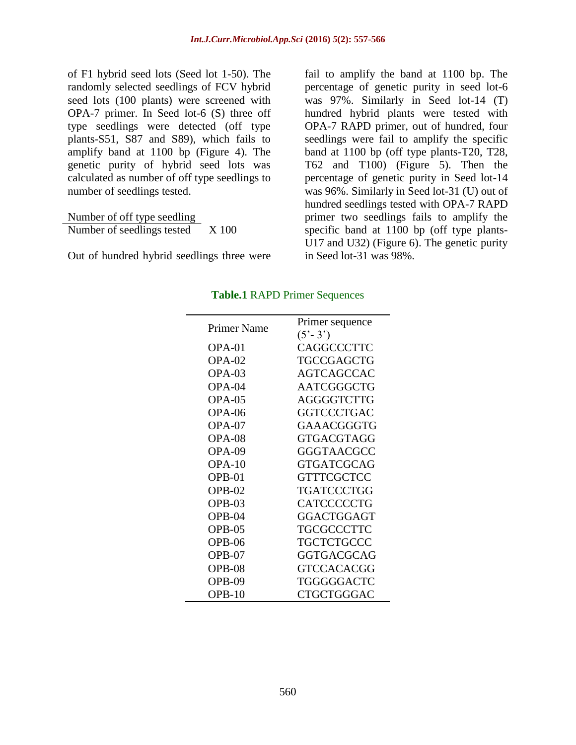of F1 hybrid seed lots (Seed lot 1-50). The randomly selected seedlings of FCV hybrid seed lots (100 plants) were screened with OPA-7 primer. In Seed lot-6 (S) three off type seedlings were detected (off type plants-S51, S87 and S89), which fails to amplify band at 1100 bp (Figure 4). The genetic purity of hybrid seed lots was calculated as number of off type seedlings to number of seedlings tested.

Number of off type seedling Number of seedlings tested X 100

Out of hundred hybrid seedlings three were

fail to amplify the band at 1100 bp. The percentage of genetic purity in seed lot-6 was 97%. Similarly in Seed lot-14 (T) hundred hybrid plants were tested with OPA-7 RAPD primer, out of hundred, four seedlings were fail to amplify the specific band at 1100 bp (off type plants-T20, T28, T62 and T100) (Figure 5). Then the percentage of genetic purity in Seed lot-14 was 96%. Similarly in Seed lot-31 (U) out of hundred seedlings tested with OPA-7 RAPD primer two seedlings fails to amplify the specific band at 1100 bp (off type plants-U17 and U32) (Figure 6). The genetic purity in Seed lot-31 was 98%.

| <b>Primer Name</b> | Primer sequence               |
|--------------------|-------------------------------|
|                    | $(5^{\degree} - 3^{\degree})$ |
| OPA-01             | CAGGCCCTTC                    |
| $OPA-02$           | TGCCGAGCTG                    |
| $OPA-03$           | AGTCAGCCAC                    |
| OPA-04             | AATCGGGCTG                    |
| OPA-05             | AGGGGTCTTG                    |
| OPA-06             | <b>GGTCCCTGAC</b>             |
| $OPA-07$           | GAAACGGGTG                    |
| OPA-08             | <b>GTGACGTAGG</b>             |
| OPA-09             | <b>GGGTAACGCC</b>             |
| $OPA-10$           | <b>GTGATCGCAG</b>             |
| OPB-01             | <b>GTTTCGCTCC</b>             |
| $OPB-02$           | TGATCCCTGG                    |
| OPB-03             | CATCCCCCTG                    |
| $OPB-04$           | <b>GGACTGGAGT</b>             |
| OPB-05             | <b>TGCGCCCTTC</b>             |
| $OPB-06$           | TGCTCTGCCC                    |
| OPB-07             | <b>GGTGACGCAG</b>             |
| $OPB-08$           | <b>GTCCACACGG</b>             |
| OPB-09             | TGGGGGACTC                    |
| $OPB-10$           | CTGCTGGGAC                    |

## **Table.1** RAPD Primer Sequences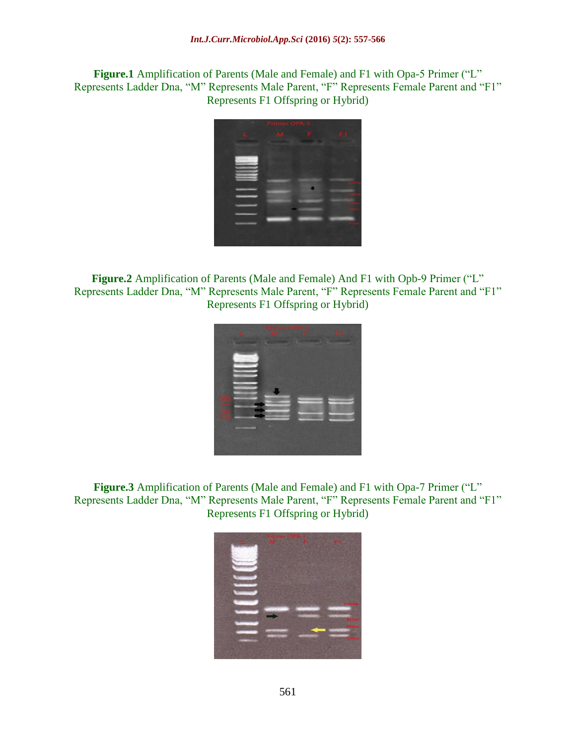**Figure.1** Amplification of Parents (Male and Female) and F1 with Opa-5 Primer ("L" Represents Ladder Dna, "M" Represents Male Parent, "F" Represents Female Parent and "F1" Represents F1 Offspring or Hybrid)



**Figure.2** Amplification of Parents (Male and Female) And F1 with Opb-9 Primer ("L" Represents Ladder Dna, "M" Represents Male Parent, "F" Represents Female Parent and "F1" Represents F1 Offspring or Hybrid)



**Figure.3** Amplification of Parents (Male and Female) and F1 with Opa-7 Primer ("L" Represents Ladder Dna, "M" Represents Male Parent, "F" Represents Female Parent and "F1" Represents F1 Offspring or Hybrid)

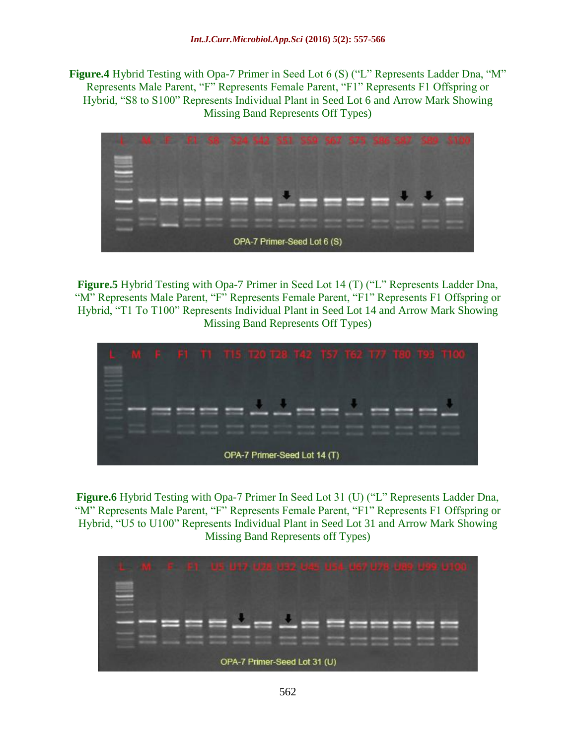**Figure.4** Hybrid Testing with Opa-7 Primer in Seed Lot 6 (S) ("L" Represents Ladder Dna, "M" Represents Male Parent, "F" Represents Female Parent, "F1" Represents F1 Offspring or Hybrid, "S8 to S100" Represents Individual Plant in Seed Lot 6 and Arrow Mark Showing Missing Band Represents Off Types)



**Figure.5** Hybrid Testing with Opa-7 Primer in Seed Lot 14 (T) ("L" Represents Ladder Dna, "M" Represents Male Parent, "F" Represents Female Parent, "F1" Represents F1 Offspring or Hybrid, "T1 To T100" Represents Individual Plant in Seed Lot 14 and Arrow Mark Showing Missing Band Represents Off Types)



**Figure.6** Hybrid Testing with Opa-7 Primer In Seed Lot 31 (U) ("L" Represents Ladder Dna, "M" Represents Male Parent, "F" Represents Female Parent, "F1" Represents F1 Offspring or Hybrid, "U5 to U100" Represents Individual Plant in Seed Lot 31 and Arrow Mark Showing Missing Band Represents off Types)

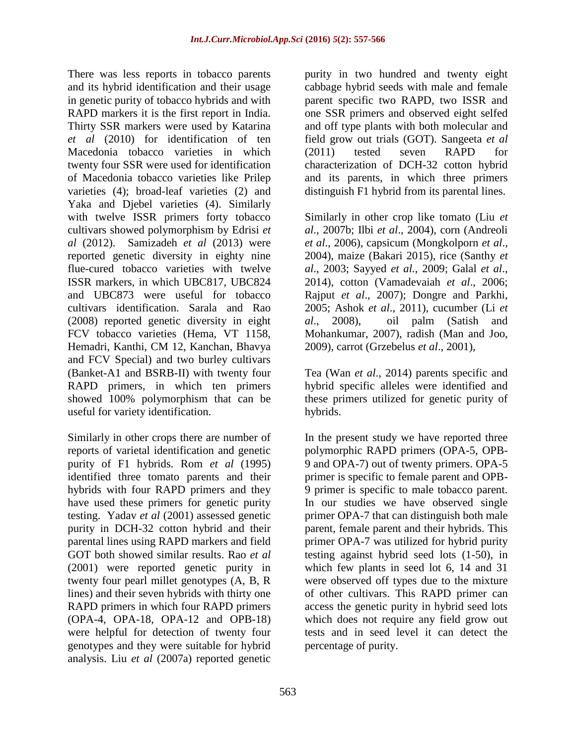There was less reports in tobacco parents and its hybrid identification and their usage in genetic purity of tobacco hybrids and with RAPD markers it is the first report in India. Thirty SSR markers were used by Katarina *et al* (2010) for identification of ten Macedonia tobacco varieties in which twenty four SSR were used for identification of Macedonia tobacco varieties like Prilep varieties (4); broad-leaf varieties (2) and Yaka and Djebel varieties (4). Similarly with twelve ISSR primers forty tobacco cultivars showed polymorphism by Edrisi *et al* (2012). Samizadeh *et al* (2013) were reported genetic diversity in eighty nine flue-cured tobacco varieties with twelve ISSR markers, in which UBC817, UBC824 and UBC873 were useful for tobacco cultivars identification. Sarala and Rao (2008) reported genetic diversity in eight FCV tobacco varieties (Hema, VT 1158, Hemadri, Kanthi, CM 12, Kanchan, Bhavya and FCV Special) and two burley cultivars (Banket-A1 and BSRB-II) with twenty four RAPD primers, in which ten primers showed 100% polymorphism that can be useful for variety identification.

Similarly in other crops there are number of reports of varietal identification and genetic purity of F1 hybrids. Rom *et al* (1995) identified three tomato parents and their hybrids with four RAPD primers and they have used these primers for genetic purity testing. Yadav *et al* (2001) assessed genetic purity in DCH-32 cotton hybrid and their parental lines using RAPD markers and field GOT both showed similar results. Rao *et al* (2001) were reported genetic purity in twenty four pearl millet genotypes (A, B, R lines) and their seven hybrids with thirty one RAPD primers in which four RAPD primers (OPA-4, OPA-18, OPA-12 and OPB-18) were helpful for detection of twenty four genotypes and they were suitable for hybrid analysis. Liu *et al* (2007a) reported genetic

purity in two hundred and twenty eight cabbage hybrid seeds with male and female parent specific two RAPD, two ISSR and one SSR primers and observed eight selfed and off type plants with both molecular and field grow out trials (GOT). Sangeeta *et al* (2011) tested seven RAPD for characterization of DCH-32 cotton hybrid and its parents, in which three primers distinguish F1 hybrid from its parental lines.

Similarly in other crop like tomato (Liu *et al*., 2007b; Ilbi *et al*., 2004), corn (Andreoli *et al*., 2006), capsicum (Mongkolporn *et al*., 2004), maize (Bakari 2015), rice (Santhy *et al*., 2003; Sayyed *et al.*, 2009; Galal *et al*., 2014), cotton (Vamadevaiah *et al*., 2006; Rajput *et al*., 2007); Dongre and Parkhi, 2005; Ashok *et al*., 2011), cucumber (Li *et al*., 2008), oil palm (Satish and Mohankumar, 2007), radish (Man and Joo, 2009), carrot (Grzebelus *et al*., 2001),

Tea (Wan *et al*., 2014) parents specific and hybrid specific alleles were identified and these primers utilized for genetic purity of hybrids.

In the present study we have reported three polymorphic RAPD primers (OPA-5, OPB-9 and OPA-7) out of twenty primers. OPA-5 primer is specific to female parent and OPB-9 primer is specific to male tobacco parent. In our studies we have observed single primer OPA-7 that can distinguish both male parent, female parent and their hybrids. This primer OPA-7 was utilized for hybrid purity testing against hybrid seed lots (1-50), in which few plants in seed lot 6, 14 and 31 were observed off types due to the mixture of other cultivars. This RAPD primer can access the genetic purity in hybrid seed lots which does not require any field grow out tests and in seed level it can detect the percentage of purity.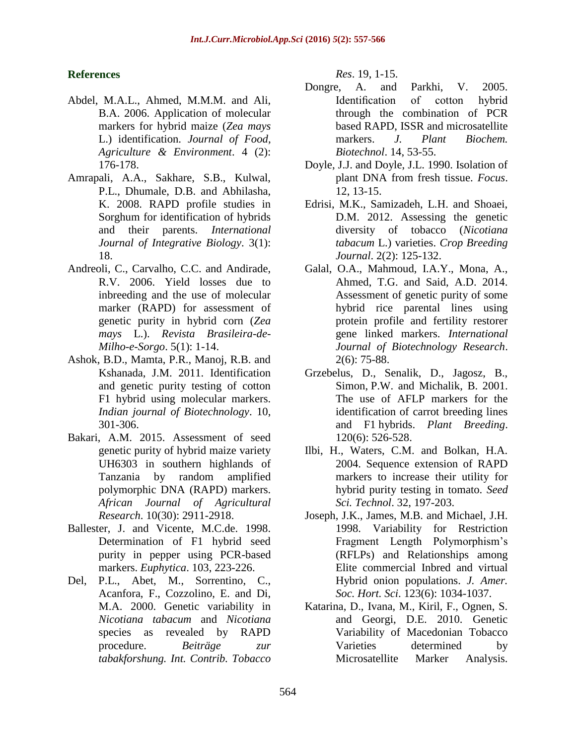## **References**

- Abdel, M.A.L., Ahmed, M.M.M. and Ali, B.A. 2006. Application of molecular markers for hybrid maize (*Zea mays*  L.) identification. *Journal of Food, Agriculture & Environment*. 4 (2): 176-178.
- Amrapali, A.A., Sakhare, S.B., Kulwal, P.L., Dhumale, D.B. and Abhilasha, K. 2008. RAPD profile studies in Sorghum for identification of hybrids and their parents. *International Journal of Integrative Biology*. 3(1): 18.
- Andreoli, C., Carvalho, C.C. and Andirade, R.V. 2006. Yield losses due to inbreeding and the use of molecular marker (RAPD) for assessment of genetic purity in hybrid corn (*Zea mays* L.). *Revista Brasileira-de-Milho-e-Sorgo*. 5(1): 1-14.
- Ashok, B.D., Mamta, P.R., Manoj, R.B. and Kshanada, J.M. 2011. Identification and genetic purity testing of cotton F1 hybrid using molecular markers. *Indian journal of Biotechnology*. 10, 301-306.
- Bakari, A.M. 2015. Assessment of seed genetic purity of hybrid maize variety UH6303 in southern highlands of Tanzania by random amplified polymorphic DNA (RAPD) markers. *African Journal of Agricultural Research*. 10(30): 2911-2918.
- Ballester, J. and Vicente, M.C.de. 1998. Determination of F1 hybrid seed purity in pepper using PCR-based markers. *Euphytica*. 103, 223-226.
- Del, P.L., Abet, M., Sorrentino, C., Acanfora, F., Cozzolino, E. and Di, M.A. 2000. Genetic variability in *Nicotiana tabacum* and *Nicotiana* species as revealed by RAPD procedure. *Beiträge zur tabakforshung. Int. Contrib. Tobacco*

*Res*. 19, 1-15.

- Dongre, A. and Parkhi, V. 2005. Identification of cotton hybrid through the combination of PCR based RAPD, ISSR and microsatellite markers. *J. Plant Biochem. Biotechnol*. 14, 53-55.
- Doyle, J.J. and Doyle, J.L. 1990. Isolation of plant DNA from fresh tissue. *Focus*. 12, 13-15.
- Edrisi, M.K., Samizadeh, L.H. and Shoaei, D.M. 2012. Assessing the genetic diversity of tobacco (*Nicotiana tabacum* L.) varieties. *Crop Breeding Journal*. 2(2): 125-132.
- Galal, O.A., Mahmoud, I.A.Y., Mona, A., Ahmed, T.G. and Said, A.D. 2014. Assessment of genetic purity of some hybrid rice parental lines using protein profile and fertility restorer gene linked markers. *International Journal of Biotechnology Research*. 2(6): 75-88.
- Grzebelus, D., Senalik, D., Jagosz, B., Simon, P.W. and Michalik, B. 2001. The use of AFLP markers for the identification of carrot breeding lines and F1 hybrids. *Plant Breeding*. 120(6): 526-528.
- Ilbi, H., Waters, C.M. and Bolkan, H.A. 2004. Sequence extension of RAPD markers to increase their utility for hybrid purity testing in tomato. *Seed Sci. Technol*. 32, 197-203.
- Joseph, J.K., James, M.B. and Michael, J.H. 1998. Variability for Restriction Fragment Length Polymorphism's (RFLPs) and Relationships among Elite commercial Inbred and virtual Hybrid onion populations. *J. Amer. Soc. Hort. Sci*. 123(6): 1034-1037.
- Katarina, D., Ivana, M., Kiril, F., Ognen, S. and Georgi, D.E. 2010. Genetic Variability of Macedonian Tobacco Varieties determined by Microsatellite Marker Analysis.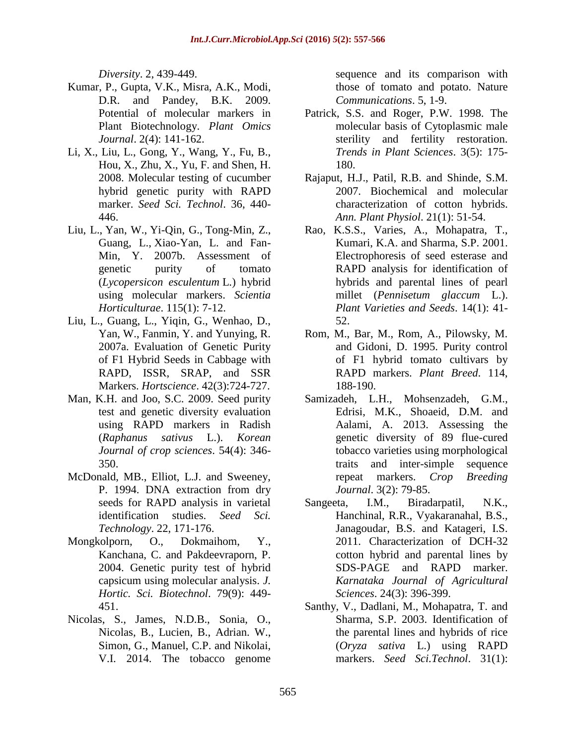*Diversity*. 2, 439-449.

- Kumar, P., Gupta, V.K., Misra, A.K., Modi, D.R. and Pandey, B.K. 2009. Potential of molecular markers in Plant Biotechnology. *Plant Omics Journal*. 2(4): 141-162.
- Li, X., Liu, L., Gong, Y., Wang, Y., Fu, B., Hou, X., Zhu, X., Yu, F. and Shen, H. 2008. Molecular testing of cucumber hybrid genetic purity with RAPD marker. *Seed Sci. Technol*. 36, 440- 446.
- Liu, L., Yan, W., Yi-Qin, G., Tong-Min, Z., Guang, L., Xiao-Yan, L. and Fan-Min, Y. 2007b. Assessment of genetic purity of tomato (*Lycopersicon esculentum* L.) hybrid using molecular markers. *Scientia Horticulturae*. 115(1): 7-12.
- Liu, L., Guang, L., Yiqin, G., Wenhao, D., Yan, W., Fanmin, Y. and Yunying, R. 2007a. Evaluation of Genetic Purity of F1 Hybrid Seeds in Cabbage with RAPD, ISSR, SRAP, and SSR Markers. *Hortscience*. 42(3):724-727.
- Man, K.H. and Joo, S.C. 2009. Seed purity test and genetic diversity evaluation using RAPD markers in Radish (*Raphanus sativus* L.). *Korean Journal of crop sciences*. 54(4): 346- 350.
- McDonald, MB., Elliot, L.J. and Sweeney, P. 1994. DNA extraction from dry seeds for RAPD analysis in varietal identification studies. *Seed Sci. Technology*. 22, 171-176.
- Mongkolporn, O., Dokmaihom, Y., Kanchana, C. and Pakdeevraporn, P. 2004. Genetic purity test of hybrid capsicum using molecular analysis. *J. Hortic. Sci. Biotechnol*. 79(9): 449- 451.
- Nicolas, S., James, N.D.B., Sonia, O., Nicolas, B., Lucien, B., Adrian. W., Simon, G., Manuel, C.P. and Nikolai, V.I. 2014. The tobacco genome

sequence and its comparison with those of tomato and potato. Nature *Communications*. 5, 1-9.

- Patrick, S.S. and Roger, P.W. 1998. The molecular basis of Cytoplasmic male sterility and fertility restoration. *Trends in Plant Sciences*. 3(5): 175- 180.
- Rajaput, H.J., Patil, R.B. and Shinde, S.M. 2007. Biochemical and molecular characterization of cotton hybrids. *Ann. Plant Physiol*. 21(1): 51-54.
- Rao, K.S.S., Varies, A., Mohapatra, T., Kumari, K.A. and Sharma, S.P. 2001. Electrophoresis of seed esterase and RAPD analysis for identification of hybrids and parental lines of pearl millet (*Pennisetum glaccum* L.). *Plant Varieties and Seeds*. 14(1): 41- 52.
- Rom, M., Bar, M., Rom, A., Pilowsky, M. and Gidoni, D. 1995. Purity control of F1 hybrid tomato cultivars by RAPD markers. *Plant Breed*. 114, 188-190.
- Samizadeh, L.H., Mohsenzadeh, G.M., Edrisi, M.K., Shoaeid, D.M. and Aalami, A. 2013. Assessing the genetic diversity of 89 flue-cured tobacco varieties using morphological traits and inter-simple sequence repeat markers. *Crop Breeding Journal*. 3(2): 79-85.
- Sangeeta, I.M., Biradarpatil, N.K., Hanchinal, R.R., Vyakaranahal, B.S., Janagoudar, B.S. and Katageri, I.S. 2011. Characterization of DCH-32 cotton hybrid and parental lines by SDS-PAGE and RAPD marker. *Karnataka Journal of Agricultural Sciences*. [24\(3\): 396-399.](http://14.139.155.167/test5/index.php/kjas/issue/view/174)
- Santhy, V., Dadlani, M., Mohapatra, T. and Sharma, S.P. 2003. Identification of the parental lines and hybrids of rice (*Oryza sativa* L.) using RAPD markers. *Seed Sci.Technol*. 31(1):